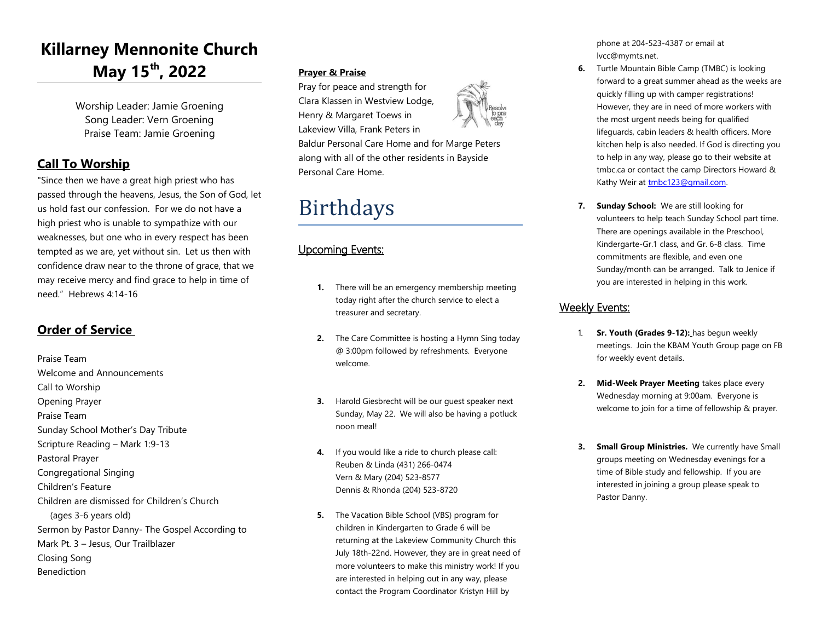## **Killarney Mennonite Church May 15th, 2022**

Worship Leader: Jamie Groening Song Leader: Vern Groening Praise Team: Jamie Groening

## **Call To Worship**

"Since then we have a great high priest who has passed through the heavens, Jesus, the Son of God, let us hold fast our confession. For we do not have a high priest who is unable to sympathize with our weaknesses, but one who in every respect has been tempted as we are, yet without sin. Let us then with confidence draw near to the throne of grace, that we may receive mercy and find grace to help in time of need." Hebrews 4:14-16

## **Order of Service**

Praise Team Welcome and Announcements Call to Worship Opening Prayer Praise Team Sunday School Mother's Day Tribute Scripture Reading – Mark 1:9-13 Pastoral Prayer Congregational Singing Children's Feature Children are dismissed for Children's Church (ages 3-6 years old) Sermon by Pastor Danny- The Gospel According to Mark Pt. 3 – Jesus, Our Trailblazer Closing Song Benediction

## **Prayer & Praise**

Pray for peace and strength for Clara Klassen in Westview Lodge, Henry & Margaret Toews in Lakeview Villa, Frank Peters in



Baldur Personal Care Home and for Marge Peters along with all of the other residents in Bayside Personal Care Home.

# Birthdays

## Upcoming Events:

- **1.** There will be an emergency membership meeting today right after the church service to elect a treasurer and secretary.
- **2.** The Care Committee is hosting a Hymn Sing today @ 3:00pm followed by refreshments. Everyone welcome.
- **3.** Harold Giesbrecht will be our guest speaker next Sunday, May 22. We will also be having a potluck noon meal!
- **4.** If you would like a ride to church please call: Reuben & Linda (431) 266-0474 Vern & Mary (204) 523-8577 Dennis & Rhonda (204) 523-8720
- **5.** The Vacation Bible School (VBS) program for children in Kindergarten to Grade 6 will be returning at the Lakeview Community Church this July 18th-22nd. However, they are in great need of more volunteers to make this ministry work! If you are interested in helping out in any way, please contact the Program Coordinator Kristyn Hill by

phone at 204-523-4387 or email at lvcc@mymts.net.

- **6.** Turtle Mountain Bible Camp (TMBC) is looking forward to a great summer ahead as the weeks are quickly filling up with camper registrations! However, they are in need of more workers with the most urgent needs being for qualified lifeguards, cabin leaders & health officers. More kitchen help is also needed. If God is directing you to help in any way, please go to their website at tmbc.ca or contact the camp Directors Howard & Kathy Weir at tmbc123@gmail.com.
- **7. Sunday School:** We are still looking for volunteers to help teach Sunday School part time. There are openings available in the Preschool, Kindergarte-Gr.1 class, and Gr. 6-8 class. Time commitments are flexible, and even one Sunday/month can be arranged. Talk to Jenice if you are interested in helping in this work.

## Weekly Events:

- 1. **Sr. Youth (Grades 9-12):** has begun weekly meetings. Join the KBAM Youth Group page on FB for weekly event details.
- **2. Mid-Week Prayer Meeting** takes place every Wednesday morning at 9:00am. Everyone is welcome to join for a time of fellowship & prayer.
- **3. Small Group Ministries.** We currently have Small groups meeting on Wednesday evenings for a time of Bible study and fellowship. If you are interested in joining a group please speak to Pastor Danny.